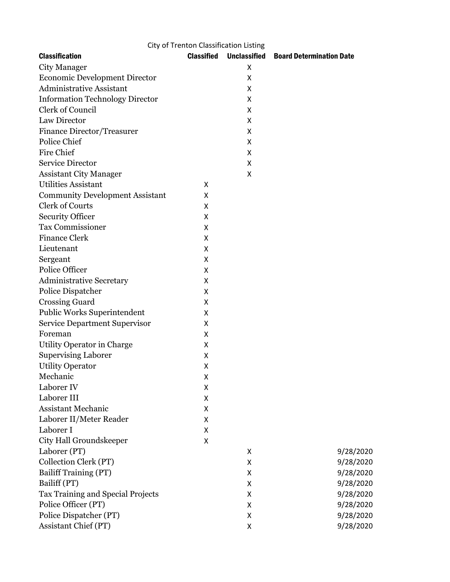| City of Trenton Classification Listing |                   |   |                                              |  |  |
|----------------------------------------|-------------------|---|----------------------------------------------|--|--|
| <b>Classification</b>                  | <b>Classified</b> |   | <b>Unclassified Board Determination Date</b> |  |  |
| <b>City Manager</b>                    |                   | X |                                              |  |  |
| <b>Economic Development Director</b>   |                   | x |                                              |  |  |
| <b>Administrative Assistant</b>        |                   | X |                                              |  |  |
| <b>Information Technology Director</b> |                   | X |                                              |  |  |
| Clerk of Council                       |                   | х |                                              |  |  |
| Law Director                           |                   | X |                                              |  |  |
| <b>Finance Director/Treasurer</b>      |                   | X |                                              |  |  |
| <b>Police Chief</b>                    |                   | X |                                              |  |  |
| Fire Chief                             |                   | Χ |                                              |  |  |
| <b>Service Director</b>                |                   | X |                                              |  |  |
| <b>Assistant City Manager</b>          |                   | X |                                              |  |  |
| <b>Utilities Assistant</b>             | X                 |   |                                              |  |  |
| <b>Community Development Assistant</b> | X                 |   |                                              |  |  |
| <b>Clerk of Courts</b>                 | Χ                 |   |                                              |  |  |
| <b>Security Officer</b>                | Χ                 |   |                                              |  |  |
| <b>Tax Commissioner</b>                | Χ                 |   |                                              |  |  |
| <b>Finance Clerk</b>                   | X                 |   |                                              |  |  |
| Lieutenant                             | X                 |   |                                              |  |  |
| Sergeant                               | Χ                 |   |                                              |  |  |
| Police Officer                         | X                 |   |                                              |  |  |
| <b>Administrative Secretary</b>        | X                 |   |                                              |  |  |
| Police Dispatcher                      | X                 |   |                                              |  |  |
| <b>Crossing Guard</b>                  | X                 |   |                                              |  |  |
| Public Works Superintendent            | Χ                 |   |                                              |  |  |
| <b>Service Department Supervisor</b>   | X                 |   |                                              |  |  |
| Foreman                                | X                 |   |                                              |  |  |
| Utility Operator in Charge             | X                 |   |                                              |  |  |
| <b>Supervising Laborer</b>             | X                 |   |                                              |  |  |
| <b>Utility Operator</b>                | X                 |   |                                              |  |  |
| Mechanic                               | X                 |   |                                              |  |  |
| Laborer IV                             | Χ                 |   |                                              |  |  |
| Laborer III                            | X                 |   |                                              |  |  |
| Assistant Mechanic                     | Χ                 |   |                                              |  |  |
| Laborer II/Meter Reader                | Χ                 |   |                                              |  |  |
| Laborer I                              | X                 |   |                                              |  |  |
| City Hall Groundskeeper                | Χ                 |   |                                              |  |  |
| Laborer (PT)                           |                   | X | 9/28/2020                                    |  |  |
| Collection Clerk (PT)                  |                   | X | 9/28/2020                                    |  |  |
| Bailiff Training (PT)                  |                   | X | 9/28/2020                                    |  |  |
| Bailiff (PT)                           |                   | X | 9/28/2020                                    |  |  |
| Tax Training and Special Projects      |                   | X | 9/28/2020                                    |  |  |
| Police Officer (PT)                    |                   | X | 9/28/2020                                    |  |  |
| Police Dispatcher (PT)                 |                   | X | 9/28/2020                                    |  |  |
| Assistant Chief (PT)                   |                   | X | 9/28/2020                                    |  |  |
|                                        |                   |   |                                              |  |  |